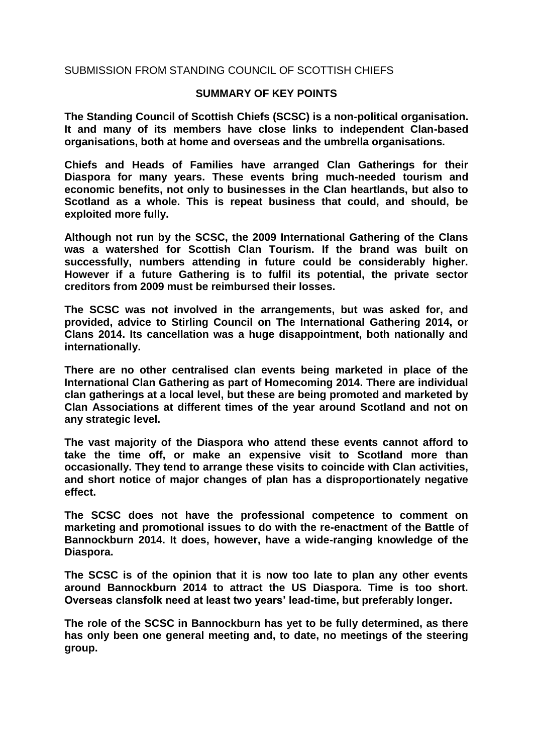#### SUBMISSION FROM STANDING COUNCIL OF SCOTTISH CHIEFS

#### **SUMMARY OF KEY POINTS**

**The Standing Council of Scottish Chiefs (SCSC) is a non-political organisation. It and many of its members have close links to independent Clan-based organisations, both at home and overseas and the umbrella organisations.** 

**Chiefs and Heads of Families have arranged Clan Gatherings for their Diaspora for many years. These events bring much-needed tourism and economic benefits, not only to businesses in the Clan heartlands, but also to Scotland as a whole. This is repeat business that could, and should, be exploited more fully.**

**Although not run by the SCSC, the 2009 International Gathering of the Clans was a watershed for Scottish Clan Tourism. If the brand was built on successfully, numbers attending in future could be considerably higher. However if a future Gathering is to fulfil its potential, the private sector creditors from 2009 must be reimbursed their losses.**

**The SCSC was not involved in the arrangements, but was asked for, and provided, advice to Stirling Council on The International Gathering 2014, or Clans 2014. Its cancellation was a huge disappointment, both nationally and internationally.**

**There are no other centralised clan events being marketed in place of the International Clan Gathering as part of Homecoming 2014. There are individual clan gatherings at a local level, but these are being promoted and marketed by Clan Associations at different times of the year around Scotland and not on any strategic level.**

**The vast majority of the Diaspora who attend these events cannot afford to take the time off, or make an expensive visit to Scotland more than occasionally. They tend to arrange these visits to coincide with Clan activities, and short notice of major changes of plan has a disproportionately negative effect.** 

**The SCSC does not have the professional competence to comment on marketing and promotional issues to do with the re-enactment of the Battle of Bannockburn 2014. It does, however, have a wide-ranging knowledge of the Diaspora.** 

**The SCSC is of the opinion that it is now too late to plan any other events around Bannockburn 2014 to attract the US Diaspora. Time is too short. Overseas clansfolk need at least two years' lead-time, but preferably longer.**

**The role of the SCSC in Bannockburn has yet to be fully determined, as there has only been one general meeting and, to date, no meetings of the steering group.**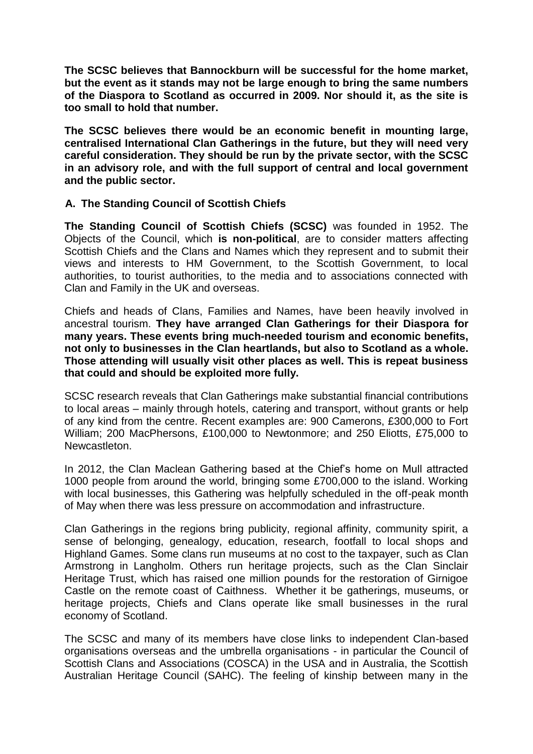**The SCSC believes that Bannockburn will be successful for the home market, but the event as it stands may not be large enough to bring the same numbers of the Diaspora to Scotland as occurred in 2009. Nor should it, as the site is too small to hold that number.** 

**The SCSC believes there would be an economic benefit in mounting large, centralised International Clan Gatherings in the future, but they will need very careful consideration. They should be run by the private sector, with the SCSC in an advisory role, and with the full support of central and local government and the public sector.** 

# **A. The Standing Council of Scottish Chiefs**

**The Standing Council of Scottish Chiefs (SCSC)** was founded in 1952. The Objects of the Council, which **is non-political**, are to consider matters affecting Scottish Chiefs and the Clans and Names which they represent and to submit their views and interests to HM Government, to the Scottish Government, to local authorities, to tourist authorities, to the media and to associations connected with Clan and Family in the UK and overseas.

Chiefs and heads of Clans, Families and Names, have been heavily involved in ancestral tourism. **They have arranged Clan Gatherings for their Diaspora for many years. These events bring much-needed tourism and economic benefits, not only to businesses in the Clan heartlands, but also to Scotland as a whole. Those attending will usually visit other places as well. This is repeat business that could and should be exploited more fully.**

SCSC research reveals that Clan Gatherings make substantial financial contributions to local areas – mainly through hotels, catering and transport, without grants or help of any kind from the centre. Recent examples are: 900 Camerons, £300,000 to Fort William; 200 MacPhersons, £100,000 to Newtonmore; and 250 Eliotts, £75,000 to Newcastleton.

In 2012, the Clan Maclean Gathering based at the Chief's home on Mull attracted 1000 people from around the world, bringing some £700,000 to the island. Working with local businesses, this Gathering was helpfully scheduled in the off-peak month of May when there was less pressure on accommodation and infrastructure.

Clan Gatherings in the regions bring publicity, regional affinity, community spirit, a sense of belonging, genealogy, education, research, footfall to local shops and Highland Games. Some clans run museums at no cost to the taxpayer, such as Clan Armstrong in Langholm. Others run heritage projects, such as the Clan Sinclair Heritage Trust, which has raised one million pounds for the restoration of Girnigoe Castle on the remote coast of Caithness. Whether it be gatherings, museums, or heritage projects, Chiefs and Clans operate like small businesses in the rural economy of Scotland.

The SCSC and many of its members have close links to independent Clan-based organisations overseas and the umbrella organisations - in particular the Council of Scottish Clans and Associations (COSCA) in the USA and in Australia, the Scottish Australian Heritage Council (SAHC). The feeling of kinship between many in the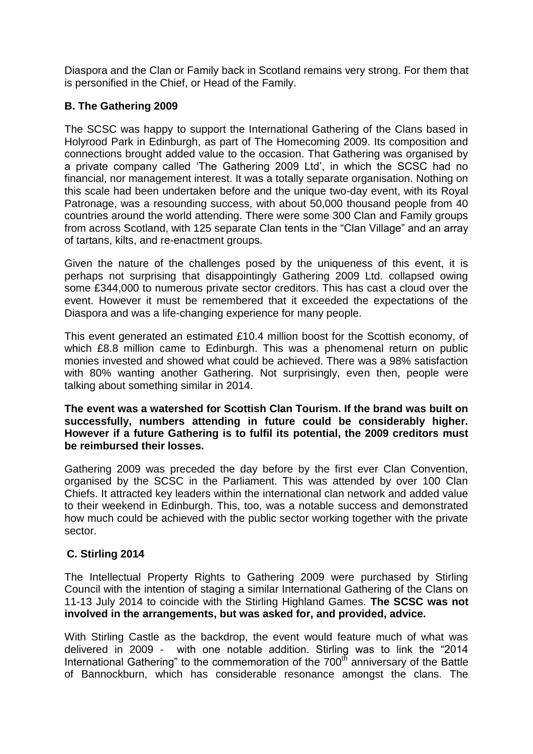Diaspora and the Clan or Family back in Scotland remains very strong. For them that is personified in the Chief, or Head of the Family.

# **B. The Gathering 2009**

The SCSC was happy to support the International Gathering of the Clans based in Holyrood Park in Edinburgh, as part of The Homecoming 2009. Its composition and connections brought added value to the occasion. That Gathering was organised by a private company called 'The Gathering 2009 Ltd', in which the SCSC had no financial, nor management interest. It was a totally separate organisation. Nothing on this scale had been undertaken before and the unique two-day event, with its Royal Patronage, was a resounding success, with about 50,000 thousand people from 40 countries around the world attending. There were some 300 Clan and Family groups from across Scotland, with 125 separate Clan tents in the "Clan Village" and an array of tartans, kilts, and re-enactment groups.

Given the nature of the challenges posed by the uniqueness of this event, it is perhaps not surprising that disappointingly Gathering 2009 Ltd. collapsed owing some £344,000 to numerous private sector creditors. This has cast a cloud over the event. However it must be remembered that it exceeded the expectations of the Diaspora and was a life-changing experience for many people.

This event generated an estimated £10.4 million boost for the Scottish economy, of which £8.8 million came to Edinburgh. This was a phenomenal return on public monies invested and showed what could be achieved. There was a 98% satisfaction with 80% wanting another Gathering. Not surprisingly, even then, people were talking about something similar in 2014.

**The event was a watershed for Scottish Clan Tourism. If the brand was built on successfully, numbers attending in future could be considerably higher. However if a future Gathering is to fulfil its potential, the 2009 creditors must be reimbursed their losses.**

Gathering 2009 was preceded the day before by the first ever Clan Convention, organised by the SCSC in the Parliament. This was attended by over 100 Clan Chiefs. It attracted key leaders within the international clan network and added value to their weekend in Edinburgh. This, too, was a notable success and demonstrated how much could be achieved with the public sector working together with the private sector.

# **C. Stirling 2014**

The Intellectual Property Rights to Gathering 2009 were purchased by Stirling Council with the intention of staging a similar International Gathering of the Clans on 11-13 July 2014 to coincide with the Stirling Highland Games. **The SCSC was not involved in the arrangements, but was asked for, and provided, advice.** 

With Stirling Castle as the backdrop, the event would feature much of what was delivered in 2009 - with one notable addition. Stirling was to link the "2014 International Gathering" to the commemoration of the  $700<sup>th</sup>$  anniversary of the Battle of Bannockburn, which has considerable resonance amongst the clans. The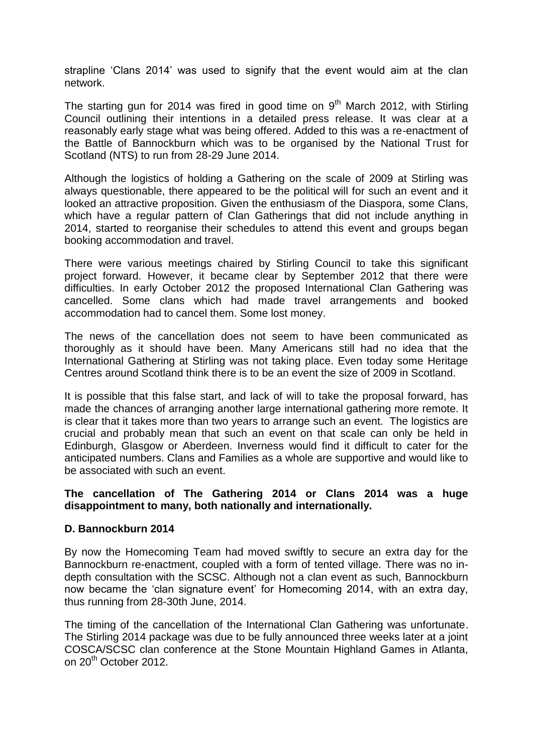strapline 'Clans 2014' was used to signify that the event would aim at the clan network.

The starting gun for 2014 was fired in good time on  $9<sup>th</sup>$  March 2012, with Stirling Council outlining their intentions in a detailed press release. It was clear at a reasonably early stage what was being offered. Added to this was a re-enactment of the Battle of Bannockburn which was to be organised by the National Trust for Scotland (NTS) to run from 28-29 June 2014.

Although the logistics of holding a Gathering on the scale of 2009 at Stirling was always questionable, there appeared to be the political will for such an event and it looked an attractive proposition. Given the enthusiasm of the Diaspora, some Clans, which have a regular pattern of Clan Gatherings that did not include anything in 2014, started to reorganise their schedules to attend this event and groups began booking accommodation and travel.

There were various meetings chaired by Stirling Council to take this significant project forward. However, it became clear by September 2012 that there were difficulties. In early October 2012 the proposed International Clan Gathering was cancelled. Some clans which had made travel arrangements and booked accommodation had to cancel them. Some lost money.

The news of the cancellation does not seem to have been communicated as thoroughly as it should have been. Many Americans still had no idea that the International Gathering at Stirling was not taking place. Even today some Heritage Centres around Scotland think there is to be an event the size of 2009 in Scotland.

It is possible that this false start, and lack of will to take the proposal forward, has made the chances of arranging another large international gathering more remote. It is clear that it takes more than two years to arrange such an event. The logistics are crucial and probably mean that such an event on that scale can only be held in Edinburgh, Glasgow or Aberdeen. Inverness would find it difficult to cater for the anticipated numbers. Clans and Families as a whole are supportive and would like to be associated with such an event.

### **The cancellation of The Gathering 2014 or Clans 2014 was a huge disappointment to many, both nationally and internationally.**

# **D. Bannockburn 2014**

By now the Homecoming Team had moved swiftly to secure an extra day for the Bannockburn re-enactment, coupled with a form of tented village. There was no indepth consultation with the SCSC. Although not a clan event as such, Bannockburn now became the 'clan signature event' for Homecoming 2014, with an extra day, thus running from 28-30th June, 2014.

The timing of the cancellation of the International Clan Gathering was unfortunate. The Stirling 2014 package was due to be fully announced three weeks later at a joint COSCA/SCSC clan conference at the Stone Mountain Highland Games in Atlanta, on 20th October 2012.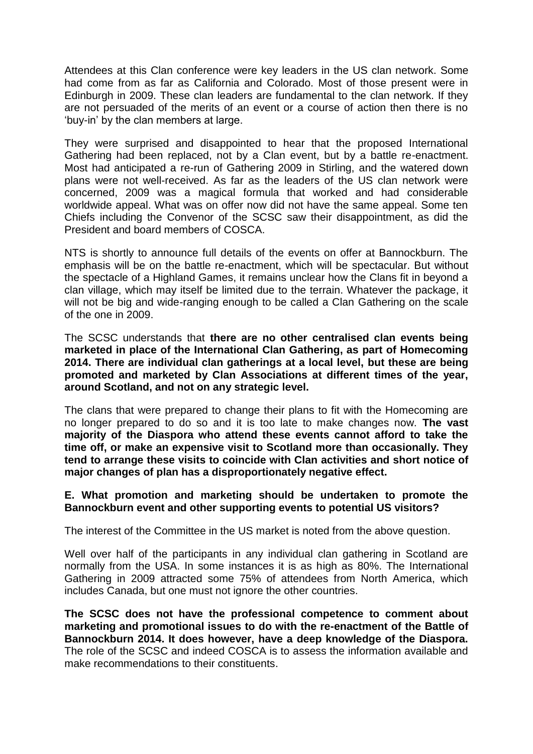Attendees at this Clan conference were key leaders in the US clan network. Some had come from as far as California and Colorado. Most of those present were in Edinburgh in 2009. These clan leaders are fundamental to the clan network. If they are not persuaded of the merits of an event or a course of action then there is no 'buy-in' by the clan members at large.

They were surprised and disappointed to hear that the proposed International Gathering had been replaced, not by a Clan event, but by a battle re-enactment. Most had anticipated a re-run of Gathering 2009 in Stirling, and the watered down plans were not well-received. As far as the leaders of the US clan network were concerned, 2009 was a magical formula that worked and had considerable worldwide appeal. What was on offer now did not have the same appeal. Some ten Chiefs including the Convenor of the SCSC saw their disappointment, as did the President and board members of COSCA.

NTS is shortly to announce full details of the events on offer at Bannockburn. The emphasis will be on the battle re-enactment, which will be spectacular. But without the spectacle of a Highland Games, it remains unclear how the Clans fit in beyond a clan village, which may itself be limited due to the terrain. Whatever the package, it will not be big and wide-ranging enough to be called a Clan Gathering on the scale of the one in 2009.

The SCSC understands that **there are no other centralised clan events being marketed in place of the International Clan Gathering, as part of Homecoming 2014. There are individual clan gatherings at a local level, but these are being promoted and marketed by Clan Associations at different times of the year, around Scotland, and not on any strategic level.**

The clans that were prepared to change their plans to fit with the Homecoming are no longer prepared to do so and it is too late to make changes now. **The vast majority of the Diaspora who attend these events cannot afford to take the time off, or make an expensive visit to Scotland more than occasionally. They tend to arrange these visits to coincide with Clan activities and short notice of major changes of plan has a disproportionately negative effect.**

# **E. What promotion and marketing should be undertaken to promote the Bannockburn event and other supporting events to potential US visitors?**

The interest of the Committee in the US market is noted from the above question.

Well over half of the participants in any individual clan gathering in Scotland are normally from the USA. In some instances it is as high as 80%. The International Gathering in 2009 attracted some 75% of attendees from North America, which includes Canada, but one must not ignore the other countries.

**The SCSC does not have the professional competence to comment about marketing and promotional issues to do with the re-enactment of the Battle of Bannockburn 2014. It does however, have a deep knowledge of the Diaspora.**  The role of the SCSC and indeed COSCA is to assess the information available and make recommendations to their constituents.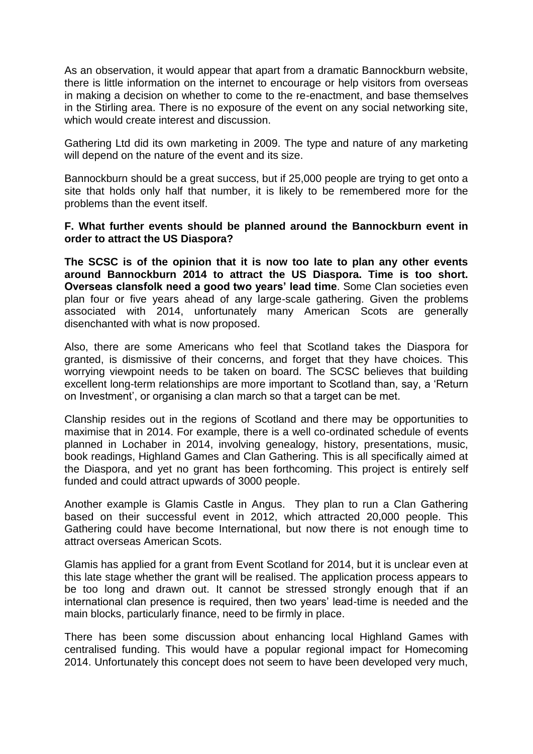As an observation, it would appear that apart from a dramatic Bannockburn website, there is little information on the internet to encourage or help visitors from overseas in making a decision on whether to come to the re-enactment, and base themselves in the Stirling area. There is no exposure of the event on any social networking site, which would create interest and discussion.

Gathering Ltd did its own marketing in 2009. The type and nature of any marketing will depend on the nature of the event and its size.

Bannockburn should be a great success, but if 25,000 people are trying to get onto a site that holds only half that number, it is likely to be remembered more for the problems than the event itself.

#### **F. What further events should be planned around the Bannockburn event in order to attract the US Diaspora?**

**The SCSC is of the opinion that it is now too late to plan any other events around Bannockburn 2014 to attract the US Diaspora. Time is too short. Overseas clansfolk need a good two years' lead time**. Some Clan societies even plan four or five years ahead of any large-scale gathering. Given the problems associated with 2014, unfortunately many American Scots are generally disenchanted with what is now proposed.

Also, there are some Americans who feel that Scotland takes the Diaspora for granted, is dismissive of their concerns, and forget that they have choices. This worrying viewpoint needs to be taken on board. The SCSC believes that building excellent long-term relationships are more important to Scotland than, say, a 'Return on Investment', or organising a clan march so that a target can be met.

Clanship resides out in the regions of Scotland and there may be opportunities to maximise that in 2014. For example, there is a well co-ordinated schedule of events planned in Lochaber in 2014, involving genealogy, history, presentations, music, book readings, Highland Games and Clan Gathering. This is all specifically aimed at the Diaspora, and yet no grant has been forthcoming. This project is entirely self funded and could attract upwards of 3000 people.

Another example is Glamis Castle in Angus. They plan to run a Clan Gathering based on their successful event in 2012, which attracted 20,000 people. This Gathering could have become International, but now there is not enough time to attract overseas American Scots.

Glamis has applied for a grant from Event Scotland for 2014, but it is unclear even at this late stage whether the grant will be realised. The application process appears to be too long and drawn out. It cannot be stressed strongly enough that if an international clan presence is required, then two years' lead-time is needed and the main blocks, particularly finance, need to be firmly in place.

There has been some discussion about enhancing local Highland Games with centralised funding. This would have a popular regional impact for Homecoming 2014. Unfortunately this concept does not seem to have been developed very much,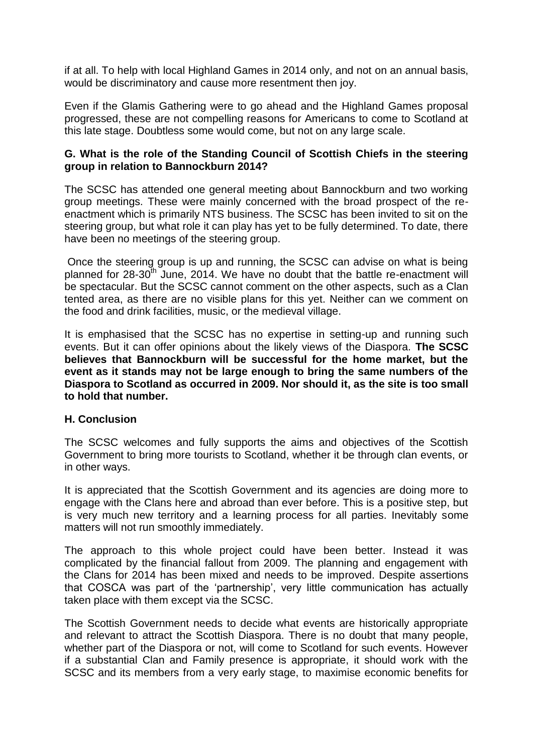if at all. To help with local Highland Games in 2014 only, and not on an annual basis, would be discriminatory and cause more resentment then joy.

Even if the Glamis Gathering were to go ahead and the Highland Games proposal progressed, these are not compelling reasons for Americans to come to Scotland at this late stage. Doubtless some would come, but not on any large scale.

### **G. What is the role of the Standing Council of Scottish Chiefs in the steering group in relation to Bannockburn 2014?**

The SCSC has attended one general meeting about Bannockburn and two working group meetings. These were mainly concerned with the broad prospect of the reenactment which is primarily NTS business. The SCSC has been invited to sit on the steering group, but what role it can play has yet to be fully determined. To date, there have been no meetings of the steering group.

Once the steering group is up and running, the SCSC can advise on what is being planned for 28-30<sup>th</sup> June, 2014. We have no doubt that the battle re-enactment will be spectacular. But the SCSC cannot comment on the other aspects, such as a Clan tented area, as there are no visible plans for this yet. Neither can we comment on the food and drink facilities, music, or the medieval village.

It is emphasised that the SCSC has no expertise in setting-up and running such events. But it can offer opinions about the likely views of the Diaspora. **The SCSC believes that Bannockburn will be successful for the home market, but the event as it stands may not be large enough to bring the same numbers of the Diaspora to Scotland as occurred in 2009. Nor should it, as the site is too small to hold that number.** 

# **H. Conclusion**

The SCSC welcomes and fully supports the aims and objectives of the Scottish Government to bring more tourists to Scotland, whether it be through clan events, or in other ways.

It is appreciated that the Scottish Government and its agencies are doing more to engage with the Clans here and abroad than ever before. This is a positive step, but is very much new territory and a learning process for all parties. Inevitably some matters will not run smoothly immediately.

The approach to this whole project could have been better. Instead it was complicated by the financial fallout from 2009. The planning and engagement with the Clans for 2014 has been mixed and needs to be improved. Despite assertions that COSCA was part of the 'partnership', very little communication has actually taken place with them except via the SCSC.

The Scottish Government needs to decide what events are historically appropriate and relevant to attract the Scottish Diaspora. There is no doubt that many people, whether part of the Diaspora or not, will come to Scotland for such events. However if a substantial Clan and Family presence is appropriate, it should work with the SCSC and its members from a very early stage, to maximise economic benefits for